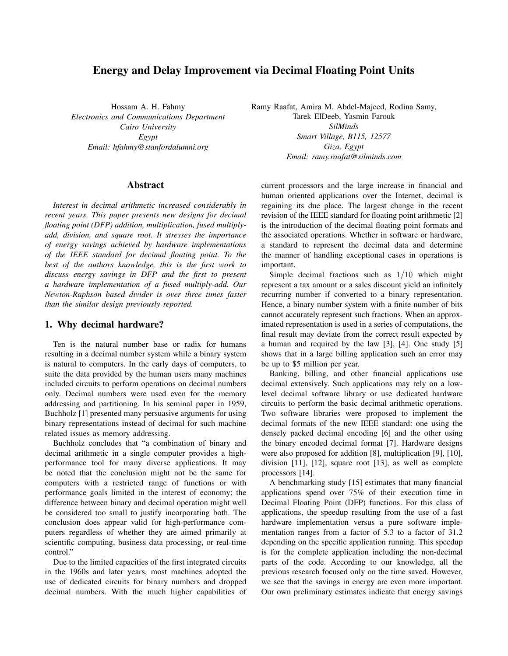# Energy and Delay Improvement via Decimal Floating Point Units

Hossam A. H. Fahmy *Electronics and Communications Department Cairo University Egypt Email: hfahmy@stanfordalumni.org*

#### Abstract

*Interest in decimal arithmetic increased considerably in recent years. This paper presents new designs for decimal floating point (DFP) addition, multiplication, fused multiplyadd, division, and square root. It stresses the importance of energy savings achieved by hardware implementations of the IEEE standard for decimal floating point. To the best of the authors knowledge, this is the first work to discuss energy savings in DFP and the first to present a hardware implementation of a fused multiply-add. Our Newton-Raphson based divider is over three times faster than the similar design previously reported.*

### 1. Why decimal hardware?

Ten is the natural number base or radix for humans resulting in a decimal number system while a binary system is natural to computers. In the early days of computers, to suite the data provided by the human users many machines included circuits to perform operations on decimal numbers only. Decimal numbers were used even for the memory addressing and partitioning. In his seminal paper in 1959, Buchholz [1] presented many persuasive arguments for using binary representations instead of decimal for such machine related issues as memory addressing.

Buchholz concludes that "a combination of binary and decimal arithmetic in a single computer provides a highperformance tool for many diverse applications. It may be noted that the conclusion might not be the same for computers with a restricted range of functions or with performance goals limited in the interest of economy; the difference between binary and decimal operation might well be considered too small to justify incorporating both. The conclusion does appear valid for high-performance computers regardless of whether they are aimed primarily at scientific computing, business data processing, or real-time control."

Due to the limited capacities of the first integrated circuits in the 1960s and later years, most machines adopted the use of dedicated circuits for binary numbers and dropped decimal numbers. With the much higher capabilities of

Ramy Raafat, Amira M. Abdel-Majeed, Rodina Samy, Tarek ElDeeb, Yasmin Farouk *SilMinds Smart Village, B115, 12577 Giza, Egypt Email: ramy.raafat@silminds.com*

current processors and the large increase in financial and human oriented applications over the Internet, decimal is regaining its due place. The largest change in the recent revision of the IEEE standard for floating point arithmetic [2] is the introduction of the decimal floating point formats and the associated operations. Whether in software or hardware, a standard to represent the decimal data and determine the manner of handling exceptional cases in operations is important.

Simple decimal fractions such as 1/10 which might represent a tax amount or a sales discount yield an infinitely recurring number if converted to a binary representation. Hence, a binary number system with a finite number of bits cannot accurately represent such fractions. When an approximated representation is used in a series of computations, the final result may deviate from the correct result expected by a human and required by the law [3], [4]. One study [5] shows that in a large billing application such an error may be up to \$5 million per year.

Banking, billing, and other financial applications use decimal extensively. Such applications may rely on a lowlevel decimal software library or use dedicated hardware circuits to perform the basic decimal arithmetic operations. Two software libraries were proposed to implement the decimal formats of the new IEEE standard: one using the densely packed decimal encoding [6] and the other using the binary encoded decimal format [7]. Hardware designs were also proposed for addition [8], multiplication [9], [10], division [11], [12], square root [13], as well as complete processors [14].

A benchmarking study [15] estimates that many financial applications spend over 75% of their execution time in Decimal Floating Point (DFP) functions. For this class of applications, the speedup resulting from the use of a fast hardware implementation versus a pure software implementation ranges from a factor of 5.3 to a factor of 31.2 depending on the specific application running. This speedup is for the complete application including the non-decimal parts of the code. According to our knowledge, all the previous research focused only on the time saved. However, we see that the savings in energy are even more important. Our own preliminary estimates indicate that energy savings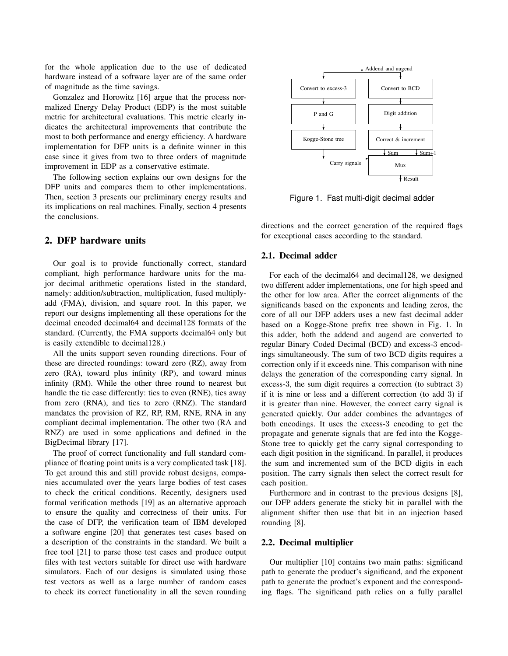for the whole application due to the use of dedicated hardware instead of a software layer are of the same order of magnitude as the time savings.

Gonzalez and Horowitz [16] argue that the process normalized Energy Delay Product (EDP) is the most suitable metric for architectural evaluations. This metric clearly indicates the architectural improvements that contribute the most to both performance and energy efficiency. A hardware implementation for DFP units is a definite winner in this case since it gives from two to three orders of magnitude improvement in EDP as a conservative estimate.

The following section explains our own designs for the DFP units and compares them to other implementations. Then, section 3 presents our preliminary energy results and its implications on real machines. Finally, section 4 presents the conclusions.

# 2. DFP hardware units

Our goal is to provide functionally correct, standard compliant, high performance hardware units for the major decimal arithmetic operations listed in the standard, namely: addition/subtraction, multiplication, fused multiplyadd (FMA), division, and square root. In this paper, we report our designs implementing all these operations for the decimal encoded decimal64 and decimal128 formats of the standard. (Currently, the FMA supports decimal64 only but is easily extendible to decimal128.)

All the units support seven rounding directions. Four of these are directed roundings: toward zero (RZ), away from zero (RA), toward plus infinity (RP), and toward minus infinity (RM). While the other three round to nearest but handle the tie case differently: ties to even (RNE), ties away from zero (RNA), and ties to zero (RNZ). The standard mandates the provision of RZ, RP, RM, RNE, RNA in any compliant decimal implementation. The other two (RA and RNZ) are used in some applications and defined in the BigDecimal library [17].

The proof of correct functionality and full standard compliance of floating point units is a very complicated task [18]. To get around this and still provide robust designs, companies accumulated over the years large bodies of test cases to check the critical conditions. Recently, designers used formal verification methods [19] as an alternative approach to ensure the quality and correctness of their units. For the case of DFP, the verification team of IBM developed a software engine [20] that generates test cases based on a description of the constraints in the standard. We built a free tool [21] to parse those test cases and produce output files with test vectors suitable for direct use with hardware simulators. Each of our designs is simulated using those test vectors as well as a large number of random cases to check its correct functionality in all the seven rounding



Figure 1. Fast multi-digit decimal adder

directions and the correct generation of the required flags for exceptional cases according to the standard.

# 2.1. Decimal adder

For each of the decimal64 and decimal128, we designed two different adder implementations, one for high speed and the other for low area. After the correct alignments of the significands based on the exponents and leading zeros, the core of all our DFP adders uses a new fast decimal adder based on a Kogge-Stone prefix tree shown in Fig. 1. In this adder, both the addend and augend are converted to regular Binary Coded Decimal (BCD) and excess-3 encodings simultaneously. The sum of two BCD digits requires a correction only if it exceeds nine. This comparison with nine delays the generation of the corresponding carry signal. In excess-3, the sum digit requires a correction (to subtract 3) if it is nine or less and a different correction (to add 3) if it is greater than nine. However, the correct carry signal is generated quickly. Our adder combines the advantages of both encodings. It uses the excess-3 encoding to get the propagate and generate signals that are fed into the Kogge-Stone tree to quickly get the carry signal corresponding to each digit position in the significand. In parallel, it produces the sum and incremented sum of the BCD digits in each position. The carry signals then select the correct result for each position.

Furthermore and in contrast to the previous designs [8], our DFP adders generate the sticky bit in parallel with the alignment shifter then use that bit in an injection based rounding [8].

# 2.2. Decimal multiplier

Our multiplier [10] contains two main paths: significand path to generate the product's significand, and the exponent path to generate the product's exponent and the corresponding flags. The significand path relies on a fully parallel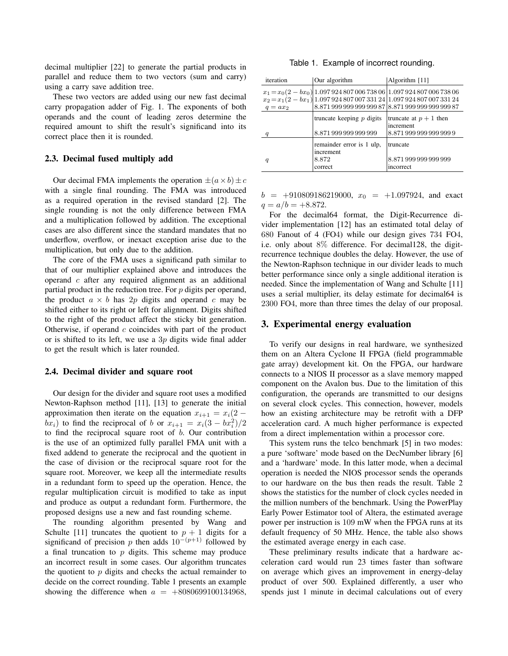decimal multiplier [22] to generate the partial products in parallel and reduce them to two vectors (sum and carry) using a carry save addition tree.

These two vectors are added using our new fast decimal carry propagation adder of Fig. 1. The exponents of both operands and the count of leading zeros determine the required amount to shift the result's significand into its correct place then it is rounded.

### 2.3. Decimal fused multiply add

Our decimal FMA implements the operation  $\pm (a \times b) \pm c$ with a single final rounding. The FMA was introduced as a required operation in the revised standard [2]. The single rounding is not the only difference between FMA and a multiplication followed by addition. The exceptional cases are also different since the standard mandates that no underflow, overflow, or inexact exception arise due to the multiplication, but only due to the addition.

The core of the FMA uses a significand path similar to that of our multiplier explained above and introduces the operand c after any required alignment as an additional partial product in the reduction tree. For p digits per operand, the product  $a \times b$  has 2p digits and operand c may be shifted either to its right or left for alignment. Digits shifted to the right of the product affect the sticky bit generation. Otherwise, if operand  $c$  coincides with part of the product or is shifted to its left, we use a  $3p$  digits wide final adder to get the result which is later rounded.

#### 2.4. Decimal divider and square root

Our design for the divider and square root uses a modified Newton-Raphson method [11], [13] to generate the initial approximation then iterate on the equation  $x_{i+1} = x_i(2$  $b(x_i)$  to find the reciprocal of b or  $x_{i+1} = x_i(3 - bx_i^2)/2$ to find the reciprocal square root of  $b$ . Our contribution is the use of an optimized fully parallel FMA unit with a fixed addend to generate the reciprocal and the quotient in the case of division or the reciprocal square root for the square root. Moreover, we keep all the intermediate results in a redundant form to speed up the operation. Hence, the regular multiplication circuit is modified to take as input and produce as output a redundant form. Furthermore, the proposed designs use a new and fast rounding scheme.

The rounding algorithm presented by Wang and Schulte [11] truncates the quotient to  $p + 1$  digits for a significand of precision p then adds  $10^{-(p+1)}$  followed by a final truncation to  $p$  digits. This scheme may produce an incorrect result in some cases. Our algorithm truncates the quotient to p digits and checks the actual remainder to decide on the correct rounding. Table 1 presents an example showing the difference when  $a = +8080699100134968$ ,

Table 1. Example of incorrect rounding.

| iteration  | Our algorithm                                                               | Algorithm [11]                                    |  |
|------------|-----------------------------------------------------------------------------|---------------------------------------------------|--|
|            | $x_1 = x_0(2 - bx_0)$   1.097 924 807 006 738 06   1.097 924 807 006 738 06 |                                                   |  |
|            | $x_2 = x_1(2 - bx_1)$ 1.097 924 807 007 331 24 1.097 924 807 007 331 24     |                                                   |  |
| $q = ax_2$ |                                                                             | 8.871 999 999 999 999 87 8.871 999 999 999 999 87 |  |
|            | truncate keeping $p$ digits                                                 | truncate at $p + 1$ then                          |  |
|            |                                                                             | increment                                         |  |
| q          | 8.871 999 999 999 999                                                       | 8.871 999 999 999 999 9                           |  |
|            | remainder error is 1 ulp,                                                   | truncate                                          |  |
|            | increment                                                                   |                                                   |  |
| q          | 8.872                                                                       | 8.871 999 999 999 999                             |  |
|            | correct                                                                     | incorrect                                         |  |

 $b = +910809186219000$ ,  $x_0 = +1.097924$ , and exact  $q = a/b = +8.872.$ 

For the decimal64 format, the Digit-Recurrence divider implementation [12] has an estimated total delay of 680 Fanout of 4 (FO4) while our design gives 734 FO4, i.e. only about 8% difference. For decimal128, the digitrecurrence technique doubles the delay. However, the use of the Newton-Raphson technique in our divider leads to much better performance since only a single additional iteration is needed. Since the implementation of Wang and Schulte [11] uses a serial multiplier, its delay estimate for decimal64 is 2300 FO4, more than three times the delay of our proposal.

# 3. Experimental energy evaluation

To verify our designs in real hardware, we synthesized them on an Altera Cyclone II FPGA (field programmable gate array) development kit. On the FPGA, our hardware connects to a NIOS II processor as a slave memory mapped component on the Avalon bus. Due to the limitation of this configuration, the operands are transmitted to our designs on several clock cycles. This connection, however, models how an existing architecture may be retrofit with a DFP acceleration card. A much higher performance is expected from a direct implementation within a processor core.

This system runs the telco benchmark [5] in two modes: a pure 'software' mode based on the DecNumber library [6] and a 'hardware' mode. In this latter mode, when a decimal operation is needed the NIOS processor sends the operands to our hardware on the bus then reads the result. Table 2 shows the statistics for the number of clock cycles needed in the million numbers of the benchmark. Using the PowerPlay Early Power Estimator tool of Altera, the estimated average power per instruction is 109 mW when the FPGA runs at its default frequency of 50 MHz. Hence, the table also shows the estimated average energy in each case.

These preliminary results indicate that a hardware acceleration card would run 23 times faster than software on average which gives an improvement in energy-delay product of over 500. Explained differently, a user who spends just 1 minute in decimal calculations out of every